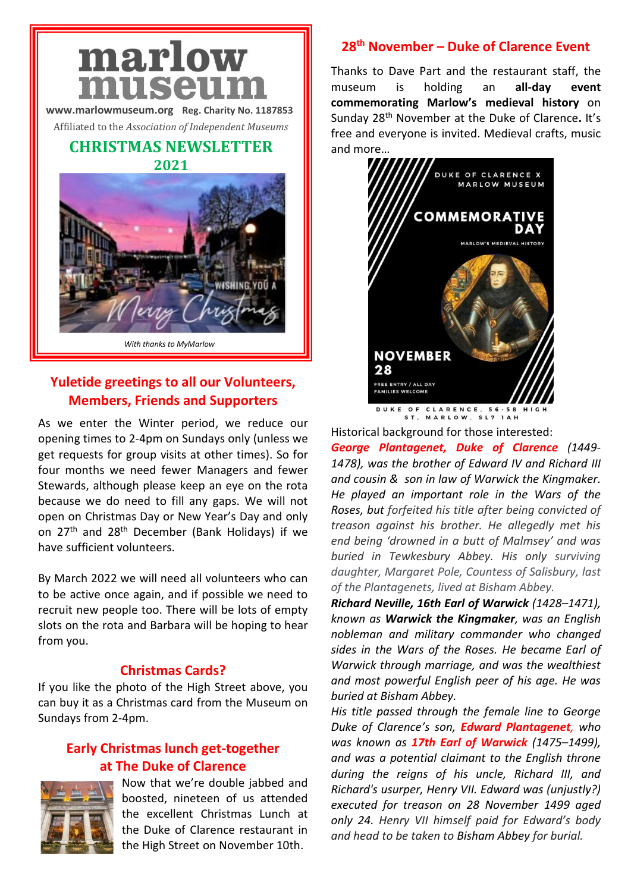# marlow museur

**[www.marlowmuseum.org](http://www.marlowmuseum.org/) Reg. Charity No. 1187853**

Affiliated to the *Association of Independent Museums*

# **CHRISTMAS NEWSLETTER 2021**



# **Yuletide greetings to all our Volunteers, Members, Friends and Supporters**

As we enter the Winter period, we reduce our opening times to 2-4pm on Sundays only (unless we get requests for group visits at other times). So for four months we need fewer Managers and fewer Stewards, although please keep an eye on the rota because we do need to fill any gaps. We will not open on Christmas Day or New Year's Day and only on 27th and 28th December (Bank Holidays) if we have sufficient volunteers.

By March 2022 we will need all volunteers who can to be active once again, and if possible we need to recruit new people too. There will be lots of empty slots on the rota and Barbara will be hoping to hear from you.

# **Christmas Cards?**

If you like the photo of the High Street above, you can buy it as a Christmas card from the Museum on Sundays from 2-4pm.

# **Early Christmas lunch get-together at The Duke of Clarence**



Now that we're double jabbed and boosted, nineteen of us attended the excellent Christmas Lunch at the Duke of Clarence restaurant in the High Street on November 10th.

# **28th November – Duke of Clarence Event**

Thanks to Dave Part and the restaurant staff, the museum is holding an **all-day event commemorating Marlow's medieval history** on Sunday 28th November at the Duke of Clarence**.** It's free and everyone is invited. Medieval crafts, music and more…



DUKE OF CLARENCE, 56-58 HIGH

Historical background for those interested:

*George Plantagenet, Duke of Clarence (1449- 1478), was the brother of [Edward IV](https://en.wikipedia.org/wiki/Edward_IV) and [Richard III](https://en.wikipedia.org/wiki/Richard_III) and cousin & son in law of Warwick the Kingmaker. He played an important role in the [Wars of the](https://en.wikipedia.org/wiki/Wars_of_the_Roses)  [Roses,](https://en.wikipedia.org/wiki/Wars_of_the_Roses) but forfeited his title after being convicted of treason against his brother. He allegedly met his end being 'drowned in a butt of Malmsey' and was buried in Tewkesbury Abbey. His only surviving daughter, Margaret Pole, Countess of Salisbury, last of the Plantagenets, lived at Bisham Abbey.*

*Richard Neville, 16th Earl of Warwick (1428–1471), known as Warwick the Kingmaker, was an English nobleman and military commander who changed sides in the Wars of the Roses. He became Earl of Warwick through marriage, and was the wealthiest and most powerful English [peer](https://en.wikipedia.org/wiki/Peerage) of his age. He was buried at Bisham Abbey.* 

*His title passed through the female line to George Duke of Clarence's son, Edward Plantagenet, who was known as 17th Earl of Warwick (1475–1499), and was a potential claimant to the English throne during the reigns of his uncle, [Richard III,](https://en.wikipedia.org/wiki/Richard_III_of_England) and Richard's usurper, [Henry VII.](https://en.wikipedia.org/wiki/Henry_VII_of_England) Edward was (unjustly?) executed for treason on 28 November 1499 aged only 24. Henry VII himself paid for Edward's body and head to be taken to [Bisham Abbey](https://en.wikipedia.org/wiki/Bisham_Abbey) for burial.*